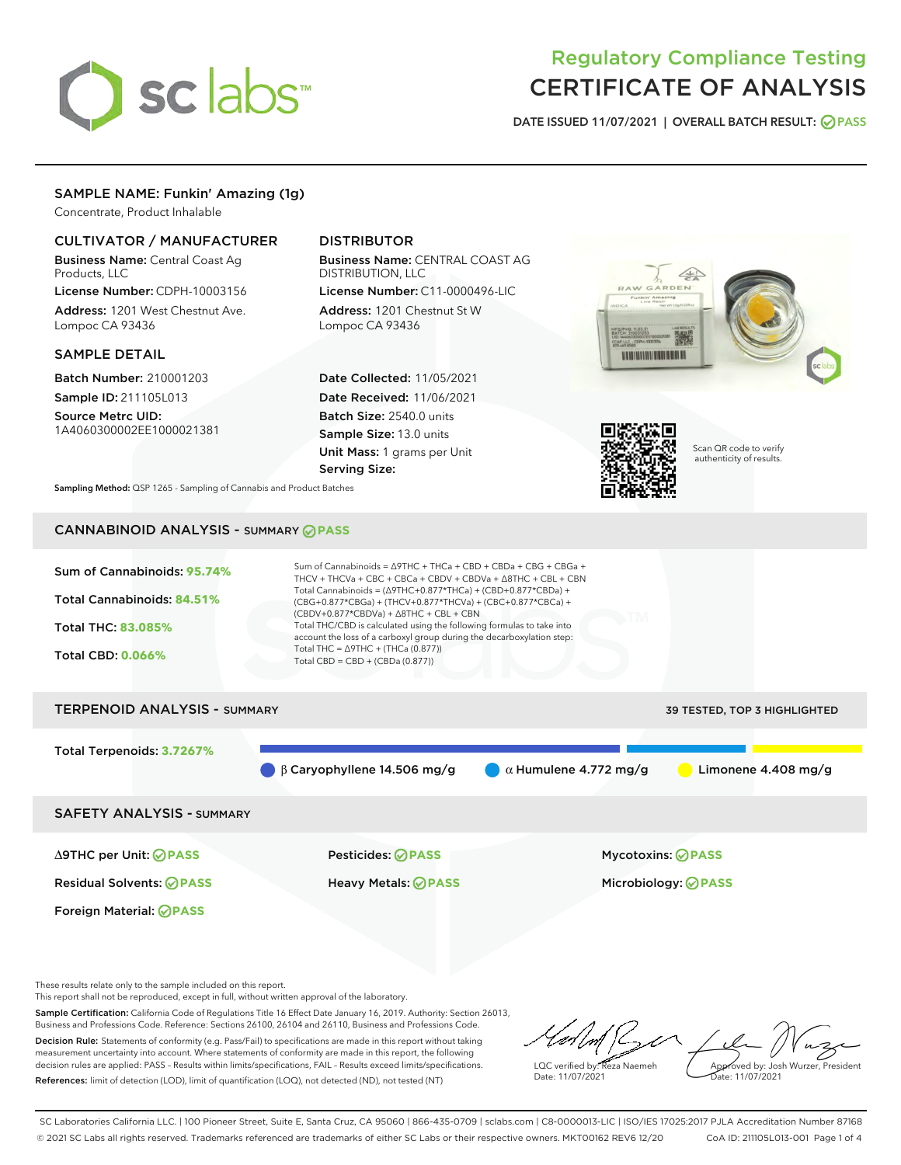

# Regulatory Compliance Testing CERTIFICATE OF ANALYSIS

DATE ISSUED 11/07/2021 | OVERALL BATCH RESULT: @ PASS

## SAMPLE NAME: Funkin' Amazing (1g)

Concentrate, Product Inhalable

## CULTIVATOR / MANUFACTURER

Business Name: Central Coast Ag Products, LLC

License Number: CDPH-10003156 Address: 1201 West Chestnut Ave. Lompoc CA 93436

#### SAMPLE DETAIL

Batch Number: 210001203 Sample ID: 211105L013

Source Metrc UID: 1A4060300002EE1000021381

# DISTRIBUTOR

Business Name: CENTRAL COAST AG DISTRIBUTION, LLC License Number: C11-0000496-LIC

Address: 1201 Chestnut St W Lompoc CA 93436

Date Collected: 11/05/2021 Date Received: 11/06/2021 Batch Size: 2540.0 units Sample Size: 13.0 units Unit Mass: 1 grams per Unit Serving Size:





Scan QR code to verify authenticity of results.

Sampling Method: QSP 1265 - Sampling of Cannabis and Product Batches

# CANNABINOID ANALYSIS - SUMMARY **PASS**



SAFETY ANALYSIS - SUMMARY

∆9THC per Unit: **PASS** Pesticides: **PASS** Mycotoxins: **PASS**

Foreign Material: **PASS**

Residual Solvents: **PASS** Heavy Metals: **PASS** Microbiology: **PASS**

These results relate only to the sample included on this report.

This report shall not be reproduced, except in full, without written approval of the laboratory.

Sample Certification: California Code of Regulations Title 16 Effect Date January 16, 2019. Authority: Section 26013, Business and Professions Code. Reference: Sections 26100, 26104 and 26110, Business and Professions Code. Decision Rule: Statements of conformity (e.g. Pass/Fail) to specifications are made in this report without taking measurement uncertainty into account. Where statements of conformity are made in this report, the following

decision rules are applied: PASS – Results within limits/specifications, FAIL – Results exceed limits/specifications. References: limit of detection (LOD), limit of quantification (LOQ), not detected (ND), not tested (NT)

LQC verified by: Reza Naemeh Date: 11/07/2021 Approved by: Josh Wurzer, President Date: 11/07/2021

SC Laboratories California LLC. | 100 Pioneer Street, Suite E, Santa Cruz, CA 95060 | 866-435-0709 | sclabs.com | C8-0000013-LIC | ISO/IES 17025:2017 PJLA Accreditation Number 87168 © 2021 SC Labs all rights reserved. Trademarks referenced are trademarks of either SC Labs or their respective owners. MKT00162 REV6 12/20 CoA ID: 211105L013-001 Page 1 of 4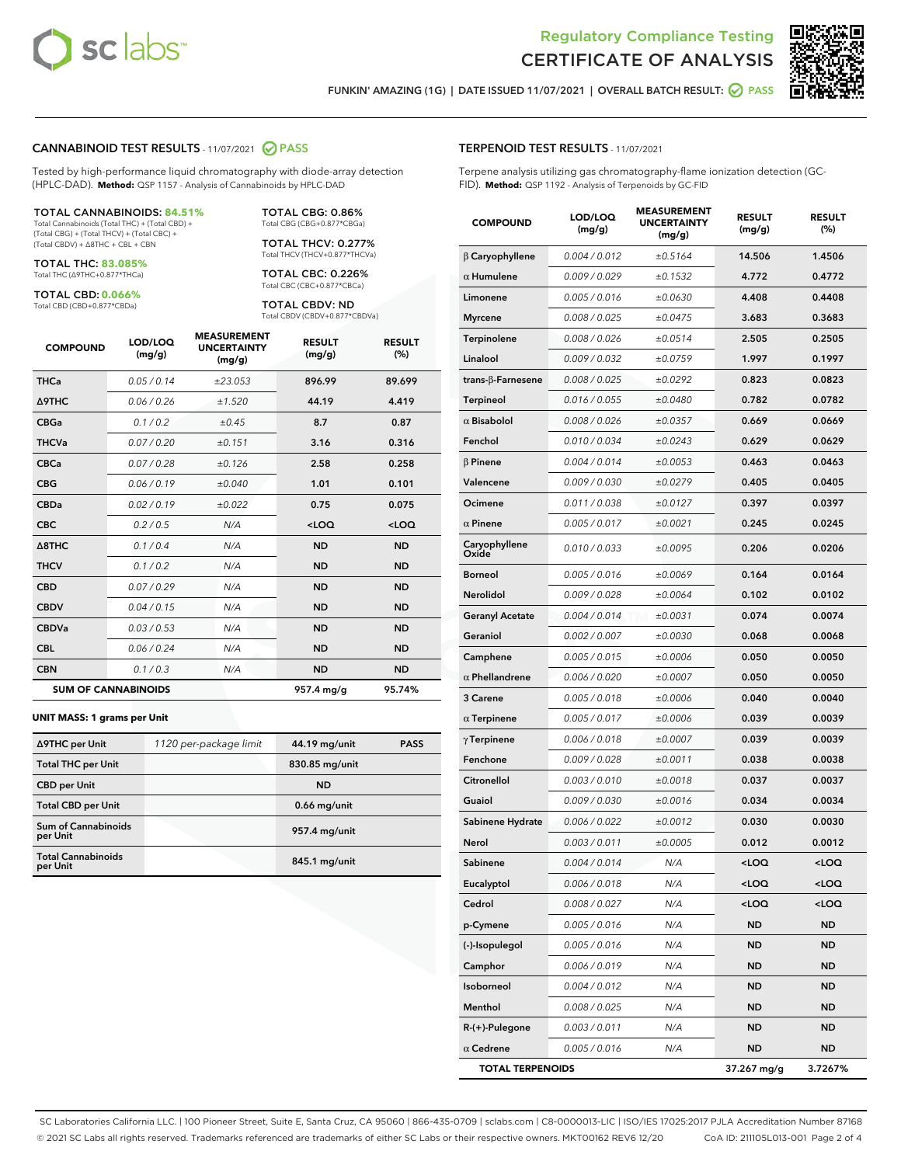



FUNKIN' AMAZING (1G) | DATE ISSUED 11/07/2021 | OVERALL BATCH RESULT: **O PASS** 

#### CANNABINOID TEST RESULTS - 11/07/2021 2 PASS

Tested by high-performance liquid chromatography with diode-array detection (HPLC-DAD). **Method:** QSP 1157 - Analysis of Cannabinoids by HPLC-DAD

#### TOTAL CANNABINOIDS: **84.51%**

Total Cannabinoids (Total THC) + (Total CBD) + (Total CBG) + (Total THCV) + (Total CBC) + (Total CBDV) + ∆8THC + CBL + CBN

TOTAL THC: **83.085%** Total THC (∆9THC+0.877\*THCa)

TOTAL CBD: **0.066%**

Total CBD (CBD+0.877\*CBDa)

TOTAL CBG: 0.86% Total CBG (CBG+0.877\*CBGa)

TOTAL THCV: 0.277% Total THCV (THCV+0.877\*THCVa)

TOTAL CBC: 0.226% Total CBC (CBC+0.877\*CBCa)

TOTAL CBDV: ND Total CBDV (CBDV+0.877\*CBDVa)

| <b>COMPOUND</b>            | LOD/LOQ<br>(mg/g) | <b>MEASUREMENT</b><br><b>UNCERTAINTY</b><br>(mg/g) | <b>RESULT</b><br>(mg/g) | <b>RESULT</b><br>(%) |
|----------------------------|-------------------|----------------------------------------------------|-------------------------|----------------------|
| <b>THCa</b>                | 0.05/0.14         | ±23.053                                            | 896.99                  | 89.699               |
| <b>A9THC</b>               | 0.06 / 0.26       | ±1.520                                             | 44.19                   | 4.419                |
| <b>CBGa</b>                | 0.1/0.2           | ±0.45                                              | 8.7                     | 0.87                 |
| <b>THCVa</b>               | 0.07 / 0.20       | ±0.151                                             | 3.16                    | 0.316                |
| <b>CBCa</b>                | 0.07/0.28         | ±0.126                                             | 2.58                    | 0.258                |
| <b>CBG</b>                 | 0.06/0.19         | ±0.040                                             | 1.01                    | 0.101                |
| <b>CBDa</b>                | 0.02/0.19         | ±0.022                                             | 0.75                    | 0.075                |
| <b>CBC</b>                 | 0.2 / 0.5         | N/A                                                | $<$ LOQ                 | $<$ LOQ              |
| A8THC                      | 0.1 / 0.4         | N/A                                                | <b>ND</b>               | <b>ND</b>            |
| <b>THCV</b>                | 0.1 / 0.2         | N/A                                                | <b>ND</b>               | <b>ND</b>            |
| <b>CBD</b>                 | 0.07/0.29         | N/A                                                | <b>ND</b>               | <b>ND</b>            |
| <b>CBDV</b>                | 0.04 / 0.15       | N/A                                                | <b>ND</b>               | <b>ND</b>            |
| <b>CBDVa</b>               | 0.03 / 0.53       | N/A                                                | <b>ND</b>               | <b>ND</b>            |
| <b>CBL</b>                 | 0.06 / 0.24       | N/A                                                | <b>ND</b>               | <b>ND</b>            |
| <b>CBN</b>                 | 0.1/0.3           | N/A                                                | <b>ND</b>               | <b>ND</b>            |
| <b>SUM OF CANNABINOIDS</b> |                   |                                                    | 957.4 mg/g              | 95.74%               |

#### **UNIT MASS: 1 grams per Unit**

| ∆9THC per Unit                        | 1120 per-package limit | 44.19 mg/unit   | <b>PASS</b> |
|---------------------------------------|------------------------|-----------------|-------------|
| <b>Total THC per Unit</b>             |                        | 830.85 mg/unit  |             |
| <b>CBD</b> per Unit                   |                        | <b>ND</b>       |             |
| <b>Total CBD per Unit</b>             |                        | $0.66$ mg/unit  |             |
| Sum of Cannabinoids<br>per Unit       |                        | 957.4 mg/unit   |             |
| <b>Total Cannabinoids</b><br>per Unit |                        | $845.1$ mg/unit |             |

#### TERPENOID TEST RESULTS - 11/07/2021

Terpene analysis utilizing gas chromatography-flame ionization detection (GC-FID). **Method:** QSP 1192 - Analysis of Terpenoids by GC-FID

| <b>COMPOUND</b>           | LOD/LOQ<br>(mg/g) | <b>MEASUREMENT</b><br><b>UNCERTAINTY</b><br>(mg/g) | <b>RESULT</b><br>(mg/g)                         | <b>RESULT</b><br>(%) |
|---------------------------|-------------------|----------------------------------------------------|-------------------------------------------------|----------------------|
| $\beta$ Caryophyllene     | 0.004 / 0.012     | ±0.5164                                            | 14.506                                          | 1.4506               |
| $\alpha$ Humulene         | 0.009 / 0.029     | ±0.1532                                            | 4.772                                           | 0.4772               |
| Limonene                  | 0.005 / 0.016     | ±0.0630                                            | 4.408                                           | 0.4408               |
| <b>Myrcene</b>            | 0.008 / 0.025     | ±0.0475                                            | 3.683                                           | 0.3683               |
| Terpinolene               | 0.008 / 0.026     | ±0.0514                                            | 2.505                                           | 0.2505               |
| Linalool                  | 0.009 / 0.032     | ±0.0759                                            | 1.997                                           | 0.1997               |
| trans- $\beta$ -Farnesene | 0.008 / 0.025     | ±0.0292                                            | 0.823                                           | 0.0823               |
| Terpineol                 | 0.016 / 0.055     | ±0.0480                                            | 0.782                                           | 0.0782               |
| $\alpha$ Bisabolol        | 0.008 / 0.026     | ±0.0357                                            | 0.669                                           | 0.0669               |
| Fenchol                   | 0.010 / 0.034     | ±0.0243                                            | 0.629                                           | 0.0629               |
| $\beta$ Pinene            | 0.004 / 0.014     | ±0.0053                                            | 0.463                                           | 0.0463               |
| Valencene                 | 0.009 / 0.030     | ±0.0279                                            | 0.405                                           | 0.0405               |
| Ocimene                   | 0.011 / 0.038     | ±0.0127                                            | 0.397                                           | 0.0397               |
| $\alpha$ Pinene           | 0.005 / 0.017     | ±0.0021                                            | 0.245                                           | 0.0245               |
| Caryophyllene<br>Oxide    | 0.010 / 0.033     | ±0.0095                                            | 0.206                                           | 0.0206               |
| <b>Borneol</b>            | 0.005 / 0.016     | ±0.0069                                            | 0.164                                           | 0.0164               |
| Nerolidol                 | 0.009 / 0.028     | ±0.0064                                            | 0.102                                           | 0.0102               |
| <b>Geranyl Acetate</b>    | 0.004 / 0.014     | ±0.0031                                            | 0.074                                           | 0.0074               |
| Geraniol                  | 0.002 / 0.007     | ±0.0030                                            | 0.068                                           | 0.0068               |
| Camphene                  | 0.005 / 0.015     | ±0.0006                                            | 0.050                                           | 0.0050               |
| $\alpha$ Phellandrene     | 0.006 / 0.020     | ±0.0007                                            | 0.050                                           | 0.0050               |
| 3 Carene                  | 0.005 / 0.018     | ±0.0006                                            | 0.040                                           | 0.0040               |
| $\alpha$ Terpinene        | 0.005 / 0.017     | ±0.0006                                            | 0.039                                           | 0.0039               |
| $\gamma$ Terpinene        | 0.006 / 0.018     | ±0.0007                                            | 0.039                                           | 0.0039               |
| Fenchone                  | 0.009 / 0.028     | ±0.0011                                            | 0.038                                           | 0.0038               |
| Citronellol               | 0.003 / 0.010     | ±0.0018                                            | 0.037                                           | 0.0037               |
| Guaiol                    | 0.009 / 0.030     | ±0.0016                                            | 0.034                                           | 0.0034               |
| Sabinene Hydrate          | 0.006 / 0.022     | ±0.0012                                            | 0.030                                           | 0.0030               |
| Nerol                     | 0.003 / 0.011     | ±0.0005                                            | 0.012                                           | 0.0012               |
| Sabinene                  | 0.004 / 0.014     | N/A                                                | $<$ LOQ                                         | $<$ LOQ              |
| Eucalyptol                | 0.006 / 0.018     | N/A                                                | <loq< th=""><th><loq< th=""></loq<></th></loq<> | <loq< th=""></loq<>  |
| Cedrol                    | 0.008 / 0.027     | N/A                                                | $<$ LOQ                                         | <loq< th=""></loq<>  |
| p-Cymene                  | 0.005 / 0.016     | N/A                                                | <b>ND</b>                                       | <b>ND</b>            |
| (-)-Isopulegol            | 0.005 / 0.016     | N/A                                                | ND                                              | ND                   |
| Camphor                   | 0.006 / 0.019     | N/A                                                | ND                                              | <b>ND</b>            |
| Isoborneol                | 0.004 / 0.012     | N/A                                                | <b>ND</b>                                       | <b>ND</b>            |
| Menthol                   | 0.008 / 0.025     | N/A                                                | ND                                              | ND                   |
| $R-(+)$ -Pulegone         | 0.003 / 0.011     | N/A                                                | ND                                              | <b>ND</b>            |
| $\alpha$ Cedrene          | 0.005 / 0.016     | N/A                                                | <b>ND</b>                                       | ND                   |
| <b>TOTAL TERPENOIDS</b>   |                   |                                                    | 37.267 mg/g                                     | 3.7267%              |

SC Laboratories California LLC. | 100 Pioneer Street, Suite E, Santa Cruz, CA 95060 | 866-435-0709 | sclabs.com | C8-0000013-LIC | ISO/IES 17025:2017 PJLA Accreditation Number 87168 © 2021 SC Labs all rights reserved. Trademarks referenced are trademarks of either SC Labs or their respective owners. MKT00162 REV6 12/20 CoA ID: 211105L013-001 Page 2 of 4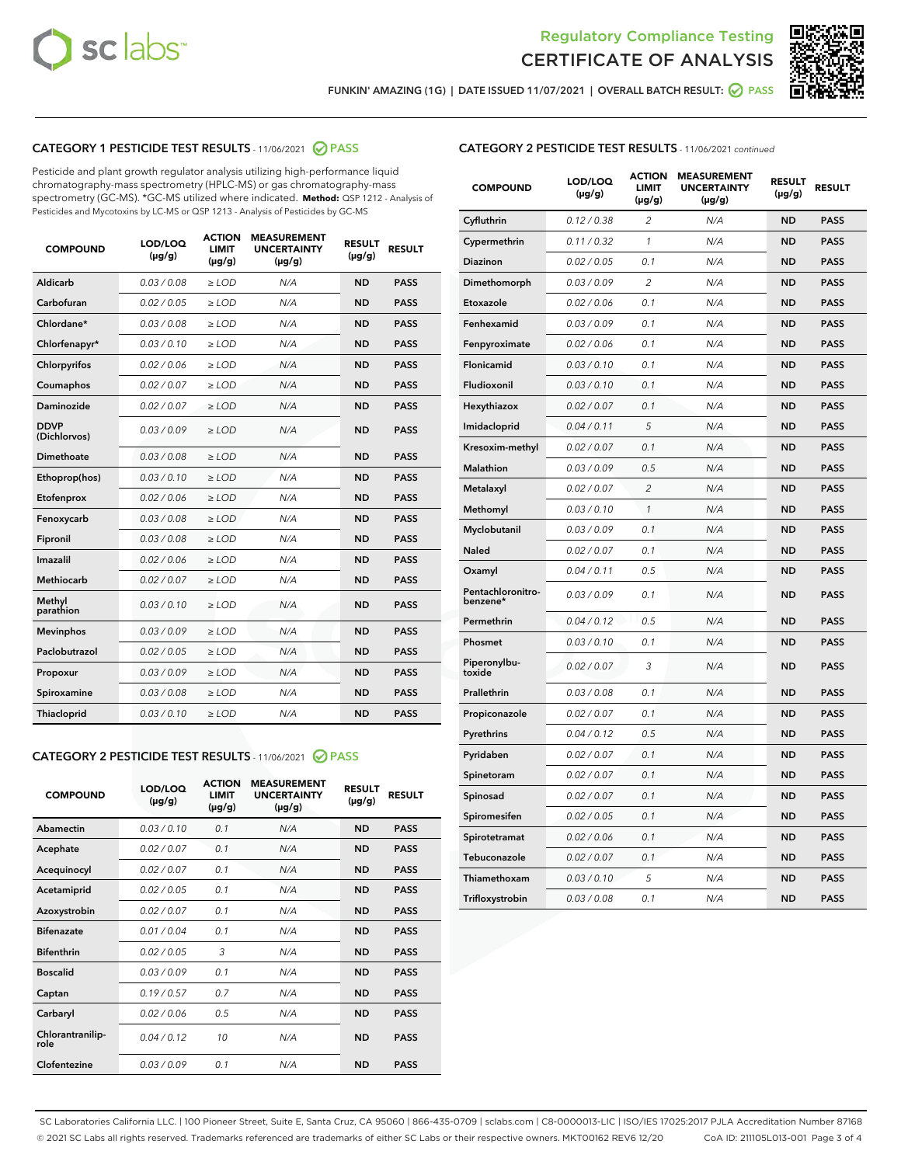



FUNKIN' AMAZING (1G) | DATE ISSUED 11/07/2021 | OVERALL BATCH RESULT:  $\bigcirc$  PASS

# CATEGORY 1 PESTICIDE TEST RESULTS - 11/06/2021 2 PASS

Pesticide and plant growth regulator analysis utilizing high-performance liquid chromatography-mass spectrometry (HPLC-MS) or gas chromatography-mass spectrometry (GC-MS). \*GC-MS utilized where indicated. **Method:** QSP 1212 - Analysis of Pesticides and Mycotoxins by LC-MS or QSP 1213 - Analysis of Pesticides by GC-MS

| <b>COMPOUND</b>             | LOD/LOQ<br>$(\mu g/g)$ | <b>ACTION</b><br><b>LIMIT</b><br>$(\mu g/g)$ | <b>MEASUREMENT</b><br><b>UNCERTAINTY</b><br>$(\mu g/g)$ | <b>RESULT</b><br>$(\mu g/g)$ | <b>RESULT</b> |
|-----------------------------|------------------------|----------------------------------------------|---------------------------------------------------------|------------------------------|---------------|
| Aldicarb                    | 0.03 / 0.08            | $\geq$ LOD                                   | N/A                                                     | <b>ND</b>                    | <b>PASS</b>   |
| Carbofuran                  | 0.02/0.05              | $\ge$ LOD                                    | N/A                                                     | <b>ND</b>                    | <b>PASS</b>   |
| Chlordane*                  | 0.03 / 0.08            | $\ge$ LOD                                    | N/A                                                     | <b>ND</b>                    | <b>PASS</b>   |
| Chlorfenapyr*               | 0.03/0.10              | $\ge$ LOD                                    | N/A                                                     | <b>ND</b>                    | <b>PASS</b>   |
| Chlorpyrifos                | 0.02 / 0.06            | $\ge$ LOD                                    | N/A                                                     | <b>ND</b>                    | <b>PASS</b>   |
| Coumaphos                   | 0.02 / 0.07            | $\ge$ LOD                                    | N/A                                                     | <b>ND</b>                    | <b>PASS</b>   |
| Daminozide                  | 0.02 / 0.07            | $\ge$ LOD                                    | N/A                                                     | <b>ND</b>                    | <b>PASS</b>   |
| <b>DDVP</b><br>(Dichlorvos) | 0.03/0.09              | $\ge$ LOD                                    | N/A                                                     | <b>ND</b>                    | <b>PASS</b>   |
| Dimethoate                  | 0.03 / 0.08            | $\ge$ LOD                                    | N/A                                                     | <b>ND</b>                    | <b>PASS</b>   |
| Ethoprop(hos)               | 0.03/0.10              | $\ge$ LOD                                    | N/A                                                     | <b>ND</b>                    | <b>PASS</b>   |
| Etofenprox                  | 0.02/0.06              | $\ge$ LOD                                    | N/A                                                     | <b>ND</b>                    | <b>PASS</b>   |
| Fenoxycarb                  | 0.03/0.08              | $\ge$ LOD                                    | N/A                                                     | <b>ND</b>                    | <b>PASS</b>   |
| Fipronil                    | 0.03/0.08              | $\ge$ LOD                                    | N/A                                                     | <b>ND</b>                    | <b>PASS</b>   |
| Imazalil                    | 0.02 / 0.06            | $\ge$ LOD                                    | N/A                                                     | <b>ND</b>                    | <b>PASS</b>   |
| <b>Methiocarb</b>           | 0.02 / 0.07            | $\ge$ LOD                                    | N/A                                                     | <b>ND</b>                    | <b>PASS</b>   |
| Methyl<br>parathion         | 0.03/0.10              | $\ge$ LOD                                    | N/A                                                     | <b>ND</b>                    | <b>PASS</b>   |
| <b>Mevinphos</b>            | 0.03/0.09              | $\ge$ LOD                                    | N/A                                                     | <b>ND</b>                    | <b>PASS</b>   |
| Paclobutrazol               | 0.02 / 0.05            | $\ge$ LOD                                    | N/A                                                     | <b>ND</b>                    | <b>PASS</b>   |
| Propoxur                    | 0.03/0.09              | $\ge$ LOD                                    | N/A                                                     | <b>ND</b>                    | <b>PASS</b>   |
| Spiroxamine                 | 0.03 / 0.08            | $\ge$ LOD                                    | N/A                                                     | <b>ND</b>                    | <b>PASS</b>   |
| <b>Thiacloprid</b>          | 0.03/0.10              | $\ge$ LOD                                    | N/A                                                     | <b>ND</b>                    | <b>PASS</b>   |
|                             |                        |                                              |                                                         |                              |               |

# CATEGORY 2 PESTICIDE TEST RESULTS - 11/06/2021 @ PASS

| <b>COMPOUND</b>          | LOD/LOO<br>$(\mu g/g)$ | <b>ACTION</b><br>LIMIT<br>$(\mu g/g)$ | <b>MEASUREMENT</b><br><b>UNCERTAINTY</b><br>$(\mu g/g)$ | <b>RESULT</b><br>$(\mu g/g)$ | <b>RESULT</b> |  |
|--------------------------|------------------------|---------------------------------------|---------------------------------------------------------|------------------------------|---------------|--|
| Abamectin                | 0.03/0.10              | 0.1                                   | N/A                                                     | <b>ND</b>                    | <b>PASS</b>   |  |
| Acephate                 | 0.02/0.07              | 0.1                                   | N/A                                                     | <b>ND</b>                    | <b>PASS</b>   |  |
| Acequinocyl              | 0.02/0.07              | 0.1                                   | N/A                                                     | <b>ND</b>                    | <b>PASS</b>   |  |
| Acetamiprid              | 0.02/0.05              | 0.1                                   | N/A                                                     | <b>ND</b>                    | <b>PASS</b>   |  |
| Azoxystrobin             | 0.02/0.07              | 0.1                                   | N/A                                                     | <b>ND</b>                    | <b>PASS</b>   |  |
| <b>Bifenazate</b>        | 0.01/0.04              | 0.1                                   | N/A                                                     | <b>ND</b>                    | <b>PASS</b>   |  |
| <b>Bifenthrin</b>        | 0.02/0.05              | 3                                     | N/A                                                     | <b>ND</b>                    | <b>PASS</b>   |  |
| <b>Boscalid</b>          | 0.03/0.09              | 0.1                                   | N/A                                                     | <b>ND</b>                    | <b>PASS</b>   |  |
| Captan                   | 0.19/0.57              | 0.7                                   | N/A                                                     | <b>ND</b>                    | <b>PASS</b>   |  |
| Carbaryl                 | 0.02/0.06              | 0.5                                   | N/A                                                     | <b>ND</b>                    | <b>PASS</b>   |  |
| Chlorantranilip-<br>role | 0.04/0.12              | 10                                    | N/A                                                     | <b>ND</b>                    | <b>PASS</b>   |  |
| Clofentezine             | 0.03/0.09              | 0.1                                   | N/A                                                     | <b>ND</b>                    | <b>PASS</b>   |  |

| <b>CATEGORY 2 PESTICIDE TEST RESULTS</b> - 11/06/2021 continued |
|-----------------------------------------------------------------|
|-----------------------------------------------------------------|

| <b>COMPOUND</b>               | LOD/LOQ<br>(µg/g) | <b>ACTION</b><br>LIMIT<br>$(\mu g/g)$ | <b>MEASUREMENT</b><br><b>UNCERTAINTY</b><br>$(\mu g/g)$ | <b>RESULT</b><br>(µg/g) | <b>RESULT</b> |
|-------------------------------|-------------------|---------------------------------------|---------------------------------------------------------|-------------------------|---------------|
| Cyfluthrin                    | 0.12 / 0.38       | $\overline{2}$                        | N/A                                                     | <b>ND</b>               | <b>PASS</b>   |
| Cypermethrin                  | 0.11 / 0.32       | $\mathcal{I}$                         | N/A                                                     | <b>ND</b>               | <b>PASS</b>   |
| Diazinon                      | 0.02 / 0.05       | 0.1                                   | N/A                                                     | <b>ND</b>               | <b>PASS</b>   |
| Dimethomorph                  | 0.03 / 0.09       | 2                                     | N/A                                                     | <b>ND</b>               | <b>PASS</b>   |
| Etoxazole                     | 0.02 / 0.06       | 0.1                                   | N/A                                                     | <b>ND</b>               | <b>PASS</b>   |
| Fenhexamid                    | 0.03 / 0.09       | 0.1                                   | N/A                                                     | <b>ND</b>               | <b>PASS</b>   |
| Fenpyroximate                 | 0.02 / 0.06       | 0.1                                   | N/A                                                     | <b>ND</b>               | <b>PASS</b>   |
| Flonicamid                    | 0.03/0.10         | 0.1                                   | N/A                                                     | <b>ND</b>               | <b>PASS</b>   |
| Fludioxonil                   | 0.03 / 0.10       | 0.1                                   | N/A                                                     | <b>ND</b>               | <b>PASS</b>   |
| Hexythiazox                   | 0.02 / 0.07       | 0.1                                   | N/A                                                     | <b>ND</b>               | <b>PASS</b>   |
| Imidacloprid                  | 0.04 / 0.11       | 5                                     | N/A                                                     | <b>ND</b>               | <b>PASS</b>   |
| Kresoxim-methyl               | 0.02 / 0.07       | 0.1                                   | N/A                                                     | <b>ND</b>               | <b>PASS</b>   |
| Malathion                     | 0.03 / 0.09       | 0.5                                   | N/A                                                     | <b>ND</b>               | <b>PASS</b>   |
| Metalaxyl                     | 0.02 / 0.07       | $\overline{2}$                        | N/A                                                     | <b>ND</b>               | <b>PASS</b>   |
| Methomyl                      | 0.03 / 0.10       | 1                                     | N/A                                                     | <b>ND</b>               | <b>PASS</b>   |
| Myclobutanil                  | 0.03 / 0.09       | 0.1                                   | N/A                                                     | <b>ND</b>               | <b>PASS</b>   |
| <b>Naled</b>                  | 0.02 / 0.07       | 0.1                                   | N/A                                                     | <b>ND</b>               | <b>PASS</b>   |
| Oxamyl                        | 0.04 / 0.11       | 0.5                                   | N/A                                                     | <b>ND</b>               | <b>PASS</b>   |
| Pentachloronitro-<br>benzene* | 0.03 / 0.09       | 0.1                                   | N/A                                                     | <b>ND</b>               | <b>PASS</b>   |
| Permethrin                    | 0.04/0.12         | 0.5                                   | N/A                                                     | <b>ND</b>               | <b>PASS</b>   |
| Phosmet                       | 0.03 / 0.10       | 0.1                                   | N/A                                                     | <b>ND</b>               | <b>PASS</b>   |
| Piperonylbu-<br>toxide        | 0.02 / 0.07       | 3                                     | N/A                                                     | <b>ND</b>               | <b>PASS</b>   |
| Prallethrin                   | 0.03 / 0.08       | 0.1                                   | N/A                                                     | <b>ND</b>               | <b>PASS</b>   |
| Propiconazole                 | 0.02 / 0.07       | 0.1                                   | N/A                                                     | <b>ND</b>               | <b>PASS</b>   |
| Pyrethrins                    | 0.04 / 0.12       | 0.5                                   | N/A                                                     | <b>ND</b>               | <b>PASS</b>   |
| Pyridaben                     | 0.02 / 0.07       | 0.1                                   | N/A                                                     | <b>ND</b>               | <b>PASS</b>   |
| Spinetoram                    | 0.02 / 0.07       | 0.1                                   | N/A                                                     | ND                      | <b>PASS</b>   |
| Spinosad                      | 0.02 / 0.07       | 0.1                                   | N/A                                                     | <b>ND</b>               | <b>PASS</b>   |
| Spiromesifen                  | 0.02 / 0.05       | 0.1                                   | N/A                                                     | <b>ND</b>               | <b>PASS</b>   |
| Spirotetramat                 | 0.02 / 0.06       | 0.1                                   | N/A                                                     | <b>ND</b>               | <b>PASS</b>   |
| Tebuconazole                  | 0.02 / 0.07       | 0.1                                   | N/A                                                     | <b>ND</b>               | <b>PASS</b>   |
| Thiamethoxam                  | 0.03 / 0.10       | 5                                     | N/A                                                     | <b>ND</b>               | <b>PASS</b>   |
| Trifloxystrobin               | 0.03 / 0.08       | 0.1                                   | N/A                                                     | <b>ND</b>               | <b>PASS</b>   |

SC Laboratories California LLC. | 100 Pioneer Street, Suite E, Santa Cruz, CA 95060 | 866-435-0709 | sclabs.com | C8-0000013-LIC | ISO/IES 17025:2017 PJLA Accreditation Number 87168 © 2021 SC Labs all rights reserved. Trademarks referenced are trademarks of either SC Labs or their respective owners. MKT00162 REV6 12/20 CoA ID: 211105L013-001 Page 3 of 4